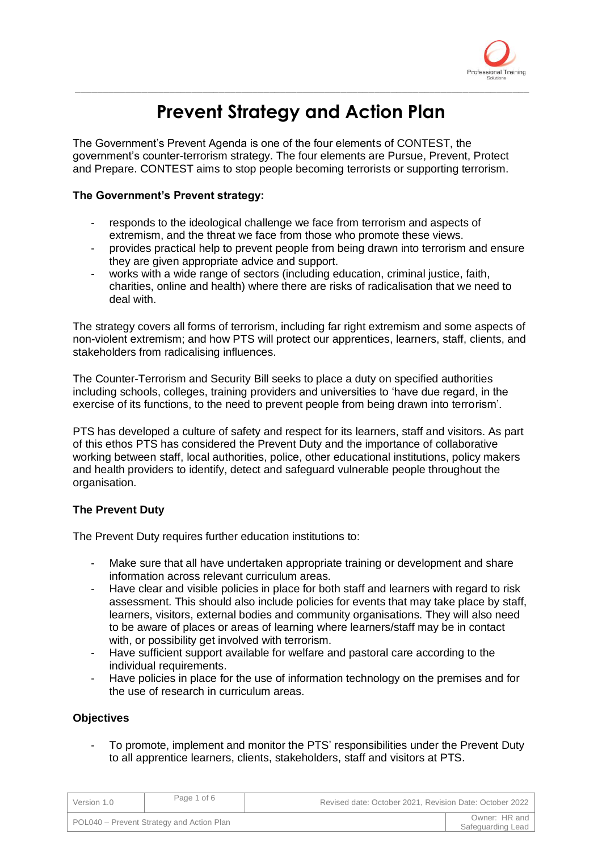

# **Prevent Strategy and Action Plan**

\_\_\_\_\_\_\_\_\_\_\_\_\_\_\_\_\_\_\_\_\_\_\_\_\_\_\_\_\_\_\_\_\_\_\_\_\_\_\_\_\_\_\_\_\_\_\_\_\_\_\_\_\_\_\_\_\_\_\_\_\_\_\_\_\_\_\_\_\_\_\_\_\_\_\_\_\_\_\_\_\_\_

The Government's Prevent Agenda is one of the four elements of CONTEST, the government's counter-terrorism strategy. The four elements are Pursue, Prevent, Protect and Prepare. CONTEST aims to stop people becoming terrorists or supporting terrorism.

## **The Government's Prevent strategy:**

- responds to the ideological challenge we face from terrorism and aspects of extremism, and the threat we face from those who promote these views.
- provides practical help to prevent people from being drawn into terrorism and ensure they are given appropriate advice and support.
- works with a wide range of sectors (including education, criminal justice, faith, charities, online and health) where there are risks of radicalisation that we need to deal with.

The strategy covers all forms of terrorism, including far right extremism and some aspects of non-violent extremism; and how PTS will protect our apprentices, learners, staff, clients, and stakeholders from radicalising influences.

The Counter-Terrorism and Security Bill seeks to place a duty on specified authorities including schools, colleges, training providers and universities to 'have due regard, in the exercise of its functions, to the need to prevent people from being drawn into terrorism'.

PTS has developed a culture of safety and respect for its learners, staff and visitors. As part of this ethos PTS has considered the Prevent Duty and the importance of collaborative working between staff, local authorities, police, other educational institutions, policy makers and health providers to identify, detect and safeguard vulnerable people throughout the organisation.

# **The Prevent Duty**

The Prevent Duty requires further education institutions to:

- Make sure that all have undertaken appropriate training or development and share information across relevant curriculum areas.
- Have clear and visible policies in place for both staff and learners with regard to risk assessment. This should also include policies for events that may take place by staff, learners, visitors, external bodies and community organisations. They will also need to be aware of places or areas of learning where learners/staff may be in contact with, or possibility get involved with terrorism.
- Have sufficient support available for welfare and pastoral care according to the individual requirements.
- Have policies in place for the use of information technology on the premises and for the use of research in curriculum areas.

## **Objectives**

- To promote, implement and monitor the PTS' responsibilities under the Prevent Duty to all apprentice learners, clients, stakeholders, staff and visitors at PTS.

| Version 1.0 | Page 1 of 6                               | Revised date: October 2021, Revision Date: October 2022 |                                    |
|-------------|-------------------------------------------|---------------------------------------------------------|------------------------------------|
|             | POL040 – Prevent Strategy and Action Plan |                                                         | Owner: HR and<br>Safeguarding Lead |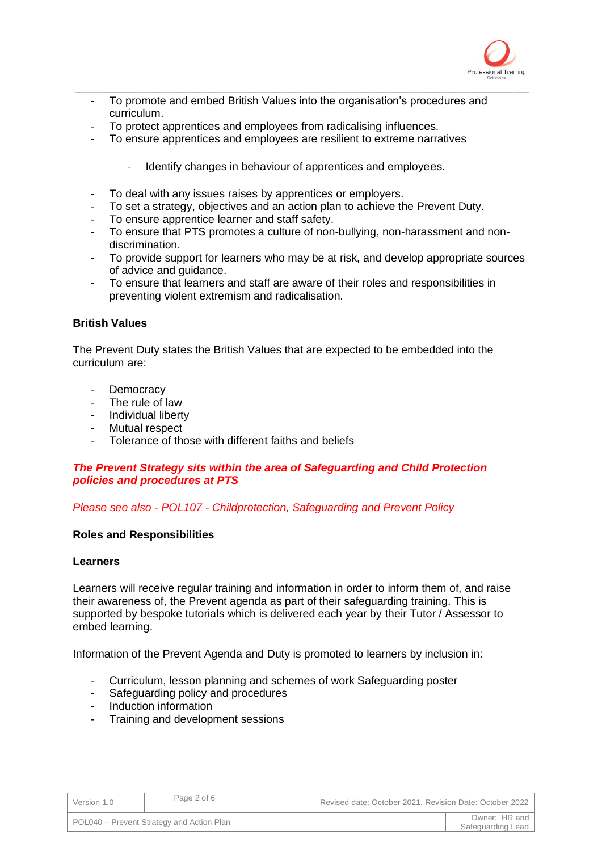

- \_\_\_\_\_\_\_\_\_\_\_\_\_\_\_\_\_\_\_\_\_\_\_\_\_\_\_\_\_\_\_\_\_\_\_\_\_\_\_\_\_\_\_\_\_\_\_\_\_\_\_\_\_\_\_\_\_\_\_\_\_\_\_\_\_\_\_\_\_\_\_\_\_\_\_\_\_\_\_\_\_\_ To promote and embed British Values into the organisation's procedures and curriculum.
	- To protect apprentices and employees from radicalising influences.
	- To ensure apprentices and employees are resilient to extreme narratives
		- Identify changes in behaviour of apprentices and employees.
	- To deal with any issues raises by apprentices or employers.
	- To set a strategy, objectives and an action plan to achieve the Prevent Duty.
	- To ensure apprentice learner and staff safety.
	- To ensure that PTS promotes a culture of non-bullying, non-harassment and nondiscrimination.
	- To provide support for learners who may be at risk, and develop appropriate sources of advice and guidance.
	- To ensure that learners and staff are aware of their roles and responsibilities in preventing violent extremism and radicalisation.

## **British Values**

The Prevent Duty states the British Values that are expected to be embedded into the curriculum are:

- **Democracy**
- The rule of law
- Individual liberty
- Mutual respect
- Tolerance of those with different faiths and beliefs

## *The Prevent Strategy sits within the area of Safeguarding and Child Protection policies and procedures at PTS*

## *Please see also - POL107 - Childprotection, Safeguarding and Prevent Policy*

#### **Roles and Responsibilities**

#### **Learners**

Learners will receive regular training and information in order to inform them of, and raise their awareness of, the Prevent agenda as part of their safeguarding training. This is supported by bespoke tutorials which is delivered each year by their Tutor / Assessor to embed learning.

Information of the Prevent Agenda and Duty is promoted to learners by inclusion in:

- Curriculum, lesson planning and schemes of work Safeguarding poster
- Safeguarding policy and procedures
- Induction information
- Training and development sessions

| Version 1.0 | Page 2 of 6                               | Revised date: October 2021, Revision Date: October 2022 |                                    |
|-------------|-------------------------------------------|---------------------------------------------------------|------------------------------------|
|             | POL040 – Prevent Strategy and Action Plan |                                                         | Owner: HR and<br>Safeguarding Lead |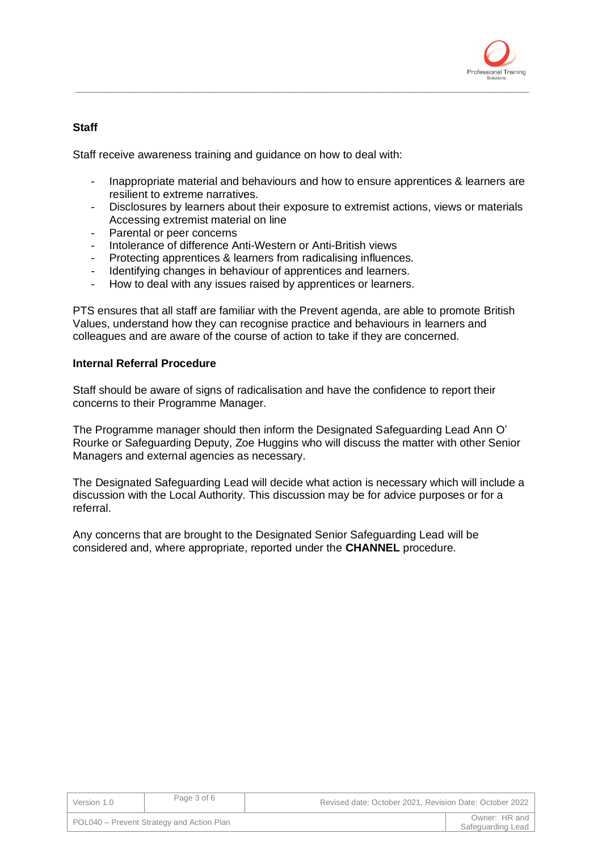

# **Staff**

Staff receive awareness training and guidance on how to deal with:

- Inappropriate material and behaviours and how to ensure apprentices & learners are resilient to extreme narratives.

\_\_\_\_\_\_\_\_\_\_\_\_\_\_\_\_\_\_\_\_\_\_\_\_\_\_\_\_\_\_\_\_\_\_\_\_\_\_\_\_\_\_\_\_\_\_\_\_\_\_\_\_\_\_\_\_\_\_\_\_\_\_\_\_\_\_\_\_\_\_\_\_\_\_\_\_\_\_\_\_\_\_

- Disclosures by learners about their exposure to extremist actions, views or materials Accessing extremist material on line
- Parental or peer concerns
- Intolerance of difference Anti-Western or Anti-British views
- Protecting apprentices & learners from radicalising influences.
- Identifying changes in behaviour of apprentices and learners.
- How to deal with any issues raised by apprentices or learners.

PTS ensures that all staff are familiar with the Prevent agenda, are able to promote British Values, understand how they can recognise practice and behaviours in learners and colleagues and are aware of the course of action to take if they are concerned.

## **Internal Referral Procedure**

Staff should be aware of signs of radicalisation and have the confidence to report their concerns to their Programme Manager.

The Programme manager should then inform the Designated Safeguarding Lead Ann O' Rourke or Safeguarding Deputy, Zoe Huggins who will discuss the matter with other Senior Managers and external agencies as necessary.

The Designated Safeguarding Lead will decide what action is necessary which will include a discussion with the Local Authority. This discussion may be for advice purposes or for a referral.

Any concerns that are brought to the Designated Senior Safeguarding Lead will be considered and, where appropriate, reported under the **CHANNEL** procedure.

| Version 1.0 | Page 3 of 6                               | Revised date: October 2021, Revision Date: October 2022 |                                    |
|-------------|-------------------------------------------|---------------------------------------------------------|------------------------------------|
|             | POL040 – Prevent Strategy and Action Plan |                                                         | Owner: HR and<br>Safeguarding Lead |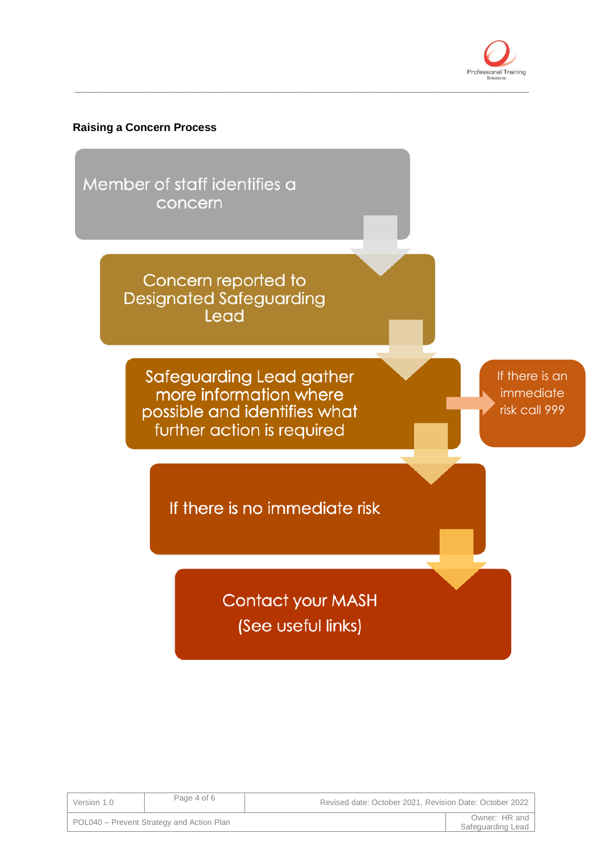

## **Raising a Concern Process**

Member of staff identifies a concern

> Concern reported to **Designated Safeguarding** Lead

Safeguarding Lead gather more information where possible and identifies what further action is required

If there is an immediate risk call 999

If there is no immediate risk

**Contact your MASH** (See useful links)

\_\_\_\_\_\_\_\_\_\_\_\_\_\_\_\_\_\_\_\_\_\_\_\_\_\_\_\_\_\_\_\_\_\_\_\_\_\_\_\_\_\_\_\_\_\_\_\_\_\_\_\_\_\_\_\_\_\_\_\_\_\_\_\_\_\_\_\_\_\_\_\_\_\_\_\_\_\_\_\_\_\_

| Version 1.0 | Page 4 of 6                               | Revised date: October 2021, Revision Date: October 2022 |                                      |
|-------------|-------------------------------------------|---------------------------------------------------------|--------------------------------------|
|             | POL040 – Prevent Strategy and Action Plan |                                                         | Owner: HR and I<br>Safeguarding Lead |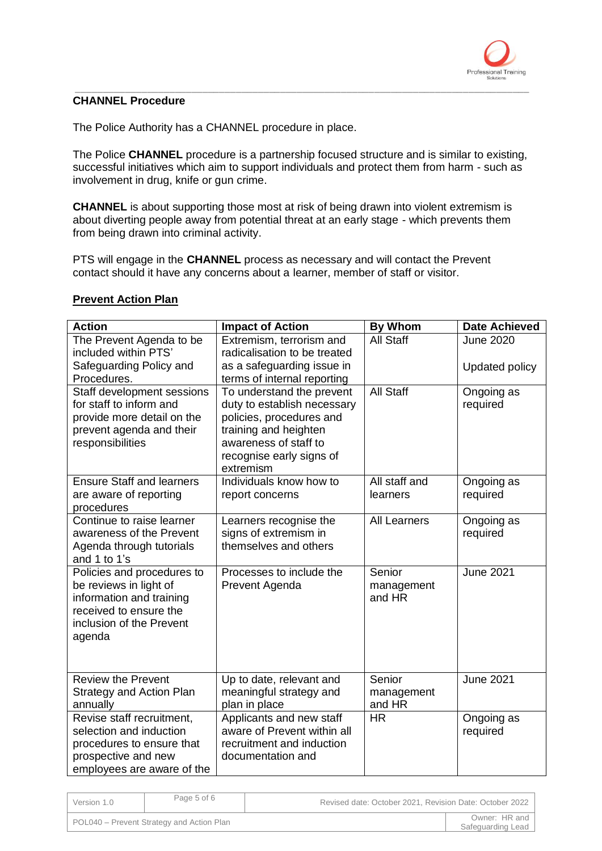

#### \_\_\_\_\_\_\_\_\_\_\_\_\_\_\_\_\_\_\_\_\_\_\_\_\_\_\_\_\_\_\_\_\_\_\_\_\_\_\_\_\_\_\_\_\_\_\_\_\_\_\_\_\_\_\_\_\_\_\_\_\_\_\_\_\_\_\_\_\_\_\_\_\_\_\_\_\_\_\_\_\_\_ **CHANNEL Procedure**

The Police Authority has a CHANNEL procedure in place.

The Police **CHANNEL** procedure is a partnership focused structure and is similar to existing, successful initiatives which aim to support individuals and protect them from harm - such as involvement in drug, knife or gun crime.

**CHANNEL** is about supporting those most at risk of being drawn into violent extremism is about diverting people away from potential threat at an early stage - which prevents them from being drawn into criminal activity.

PTS will engage in the **CHANNEL** process as necessary and will contact the Prevent contact should it have any concerns about a learner, member of staff or visitor.

| <b>Action</b>                                                                                                                                    | <b>Impact of Action</b>                                                                                                                                                         | <b>By Whom</b>                 | <b>Date Achieved</b>   |
|--------------------------------------------------------------------------------------------------------------------------------------------------|---------------------------------------------------------------------------------------------------------------------------------------------------------------------------------|--------------------------------|------------------------|
| The Prevent Agenda to be<br>included within PTS'                                                                                                 | Extremism, terrorism and<br>radicalisation to be treated                                                                                                                        | <b>All Staff</b>               | <b>June 2020</b>       |
| Safeguarding Policy and                                                                                                                          | as a safeguarding issue in                                                                                                                                                      |                                | Updated policy         |
| Procedures.                                                                                                                                      | terms of internal reporting                                                                                                                                                     |                                |                        |
| Staff development sessions<br>for staff to inform and<br>provide more detail on the<br>prevent agenda and their<br>responsibilities              | To understand the prevent<br>duty to establish necessary<br>policies, procedures and<br>training and heighten<br>awareness of staff to<br>recognise early signs of<br>extremism | <b>All Staff</b>               | Ongoing as<br>required |
| <b>Ensure Staff and learners</b><br>are aware of reporting<br>procedures                                                                         | Individuals know how to<br>report concerns                                                                                                                                      | All staff and<br>learners      | Ongoing as<br>required |
| Continue to raise learner<br>awareness of the Prevent<br>Agenda through tutorials<br>and 1 to 1's                                                | Learners recognise the<br>signs of extremism in<br>themselves and others                                                                                                        | <b>All Learners</b>            | Ongoing as<br>required |
| Policies and procedures to<br>be reviews in light of<br>information and training<br>received to ensure the<br>inclusion of the Prevent<br>agenda | Processes to include the<br>Prevent Agenda                                                                                                                                      | Senior<br>management<br>and HR | <b>June 2021</b>       |
| <b>Review the Prevent</b><br><b>Strategy and Action Plan</b><br>annually                                                                         | Up to date, relevant and<br>meaningful strategy and<br>plan in place                                                                                                            | Senior<br>management<br>and HR | <b>June 2021</b>       |
| Revise staff recruitment,<br>selection and induction<br>procedures to ensure that<br>prospective and new<br>employees are aware of the           | Applicants and new staff<br>aware of Prevent within all<br>recruitment and induction<br>documentation and                                                                       | <b>HR</b>                      | Ongoing as<br>required |

# **Prevent Action Plan**

| Version 1.0 | Page 5 of 6                               | Revised date: October 2021. Revision Date: October 2022 |  |
|-------------|-------------------------------------------|---------------------------------------------------------|--|
|             | POL040 – Prevent Strategy and Action Plan | Owner: HR and<br>Safeguarding Lead                      |  |